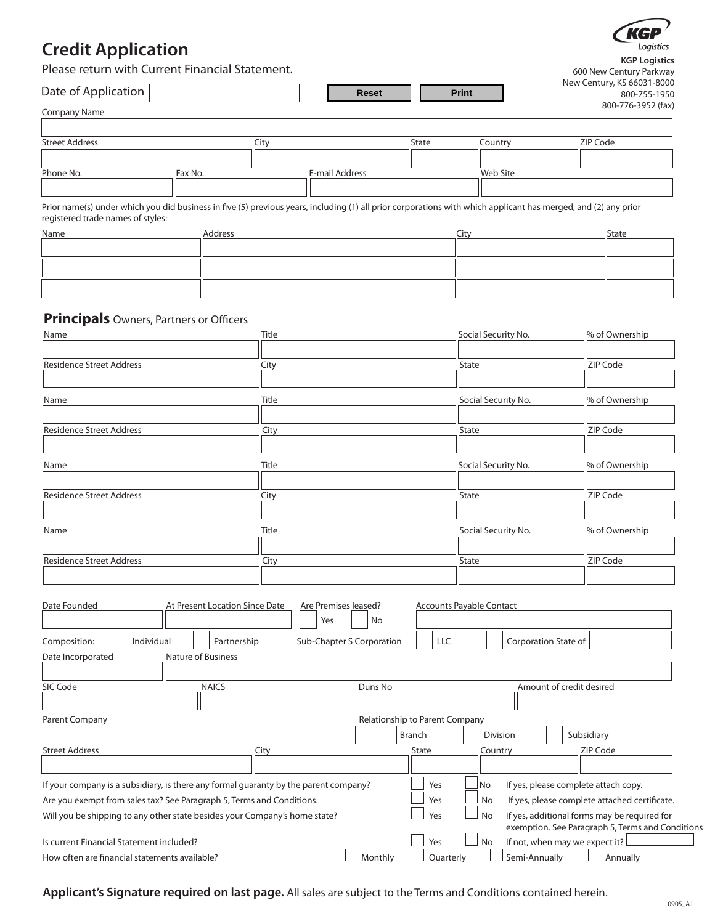# **Credit Application**



Please return with Current Financial Statement. **KGP Logistics**

| Please return with Current Financial Statement. |              |              | 600 New Century Parkway                    |
|-------------------------------------------------|--------------|--------------|--------------------------------------------|
| Date of Application                             | <b>Reset</b> | <b>Print</b> | New Century, KS 66031-8000<br>800-755-1950 |
| <b>Company Name</b>                             |              |              | 800-776-3952 (fax)                         |
|                                                 |              |              |                                            |

| <b>Street Address</b> |         | Litv |                | State | Countrv  | ZIP Code |
|-----------------------|---------|------|----------------|-------|----------|----------|
|                       |         |      |                |       |          |          |
| Phone No.             | Fax No. |      | E-mail Address |       | Web Site |          |
|                       |         |      |                |       |          |          |

Prior name(s) under which you did business in five (5) previous years, including (1) all prior corporations with which applicant has merged, and (2) any prior registered trade names of styles:

| Name | Address | City<br><u>__</u> | State |
|------|---------|-------------------|-------|
|      |         |                   |       |
|      |         |                   |       |
|      |         |                   |       |
|      |         |                   |       |
|      |         |                   |       |
|      |         |                   |       |

# **Principals** Owners, Partners or Officers

| Name                                                                                                                                                                                                                                        | Title                                                    |                                                 | Social Security No.                              | % of Ownership                                                                                                                                                                            |
|---------------------------------------------------------------------------------------------------------------------------------------------------------------------------------------------------------------------------------------------|----------------------------------------------------------|-------------------------------------------------|--------------------------------------------------|-------------------------------------------------------------------------------------------------------------------------------------------------------------------------------------------|
| <b>Residence Street Address</b>                                                                                                                                                                                                             | City                                                     |                                                 | State                                            | ZIP Code                                                                                                                                                                                  |
| Name                                                                                                                                                                                                                                        | Title                                                    |                                                 | Social Security No.                              | % of Ownership                                                                                                                                                                            |
| <b>Residence Street Address</b>                                                                                                                                                                                                             | City                                                     |                                                 | State                                            | ZIP Code                                                                                                                                                                                  |
|                                                                                                                                                                                                                                             |                                                          |                                                 |                                                  |                                                                                                                                                                                           |
| Name                                                                                                                                                                                                                                        | Title                                                    |                                                 | Social Security No.                              | % of Ownership                                                                                                                                                                            |
| <b>Residence Street Address</b>                                                                                                                                                                                                             | City                                                     |                                                 | State                                            | ZIP Code                                                                                                                                                                                  |
| Name                                                                                                                                                                                                                                        | Title                                                    |                                                 | Social Security No.                              | % of Ownership                                                                                                                                                                            |
| <b>Residence Street Address</b>                                                                                                                                                                                                             | City                                                     |                                                 | State                                            | ZIP Code                                                                                                                                                                                  |
| Date Founded<br>At Present Location Since Date<br>Individual<br>Composition:<br>Partnership<br>Nature of Business<br>Date Incorporated                                                                                                      | Are Premises leased?<br>Yes<br>Sub-Chapter S Corporation | No<br>LLC                                       | Accounts Payable Contact<br>Corporation State of |                                                                                                                                                                                           |
| SIC Code<br><b>NAICS</b>                                                                                                                                                                                                                    |                                                          | Duns No                                         |                                                  | Amount of credit desired                                                                                                                                                                  |
| Parent Company                                                                                                                                                                                                                              |                                                          | Relationship to Parent Company<br><b>Branch</b> | Division                                         | Subsidiary                                                                                                                                                                                |
| <b>Street Address</b>                                                                                                                                                                                                                       | City                                                     | State                                           | Country                                          | ZIP Code                                                                                                                                                                                  |
| If your company is a subsidiary, is there any formal guaranty by the parent company?<br>Are you exempt from sales tax? See Paragraph 5, Terms and Conditions.<br>Will you be shipping to any other state besides your Company's home state? |                                                          | Yes<br>Yes<br>Yes                               | No<br>No<br>No                                   | If yes, please complete attach copy.<br>If yes, please complete attached certificate.<br>If yes, additional forms may be required for<br>exemption. See Paragraph 5, Terms and Conditions |
| Is current Financial Statement included?<br>How often are financial statements available?                                                                                                                                                   |                                                          | Yes<br>Monthly<br>Quarterly                     | No<br>Semi-Annually                              | If not, when may we expect it?<br>Annually                                                                                                                                                |
|                                                                                                                                                                                                                                             |                                                          |                                                 |                                                  |                                                                                                                                                                                           |

**Applicant's Signature required on last page.** All sales are subject to the Terms and Conditions contained herein.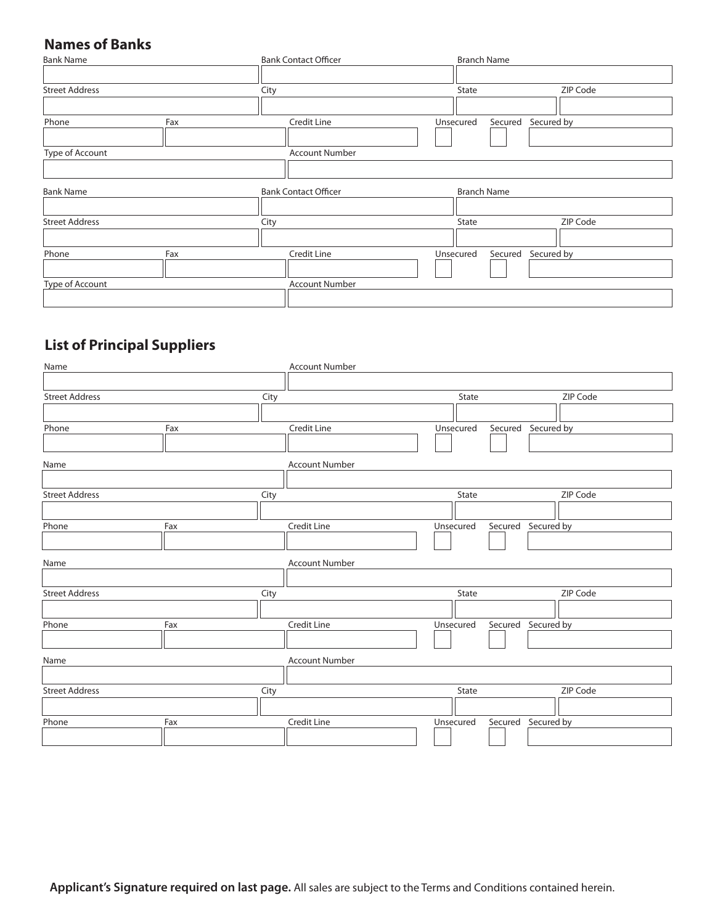# **Names of Banks**

| <b>Bank Name</b>      |      | <b>Bank Contact Officer</b> |           | <b>Branch Name</b> |                    |
|-----------------------|------|-----------------------------|-----------|--------------------|--------------------|
|                       |      |                             |           |                    |                    |
| <b>Street Address</b> | City |                             | State     |                    | ZIP Code           |
|                       |      |                             |           |                    |                    |
| Phone                 | Fax  | Credit Line                 | Unsecured |                    | Secured Secured by |
|                       |      |                             |           |                    |                    |
| Type of Account       |      | <b>Account Number</b>       |           |                    |                    |
|                       |      |                             |           |                    |                    |
| <b>Bank Name</b>      |      | <b>Bank Contact Officer</b> |           | <b>Branch Name</b> |                    |
|                       |      |                             |           |                    |                    |
| <b>Street Address</b> | City |                             | State     |                    | ZIP Code           |
|                       |      |                             |           |                    |                    |
| Phone                 | Fax  | Credit Line                 | Unsecured |                    | Secured Secured by |
|                       |      |                             |           |                    |                    |
| Type of Account       |      | <b>Account Number</b>       |           |                    |                    |
|                       |      |                             |           |                    |                    |

# **List of Principal Suppliers**

| Name                  |     |      | <b>Account Number</b> |           |                    |          |
|-----------------------|-----|------|-----------------------|-----------|--------------------|----------|
|                       |     |      |                       |           |                    |          |
| <b>Street Address</b> |     | City |                       | State     |                    | ZIP Code |
|                       |     |      |                       |           |                    |          |
| Phone                 | Fax |      | Credit Line           | Unsecured | Secured Secured by |          |
|                       |     |      |                       |           |                    |          |
| Name                  |     |      | <b>Account Number</b> |           |                    |          |
|                       |     |      |                       |           |                    |          |
| <b>Street Address</b> |     | City |                       | State     |                    | ZIP Code |
|                       |     |      |                       |           |                    |          |
| Phone                 | Fax |      | Credit Line           | Unsecured | Secured Secured by |          |
|                       |     |      |                       |           |                    |          |
| Name                  |     |      | <b>Account Number</b> |           |                    |          |
|                       |     |      |                       |           |                    |          |
| <b>Street Address</b> |     | City |                       | State     |                    | ZIP Code |
|                       |     |      |                       |           |                    |          |
| Phone                 | Fax |      | Credit Line           | Unsecured | Secured Secured by |          |
|                       |     |      |                       |           |                    |          |
| Name                  |     |      | <b>Account Number</b> |           |                    |          |
|                       |     |      |                       |           |                    |          |
| <b>Street Address</b> |     | City |                       | State     |                    | ZIP Code |
|                       |     |      |                       |           |                    |          |
| Phone                 | Fax |      | Credit Line           | Unsecured | Secured Secured by |          |
|                       |     |      |                       |           |                    |          |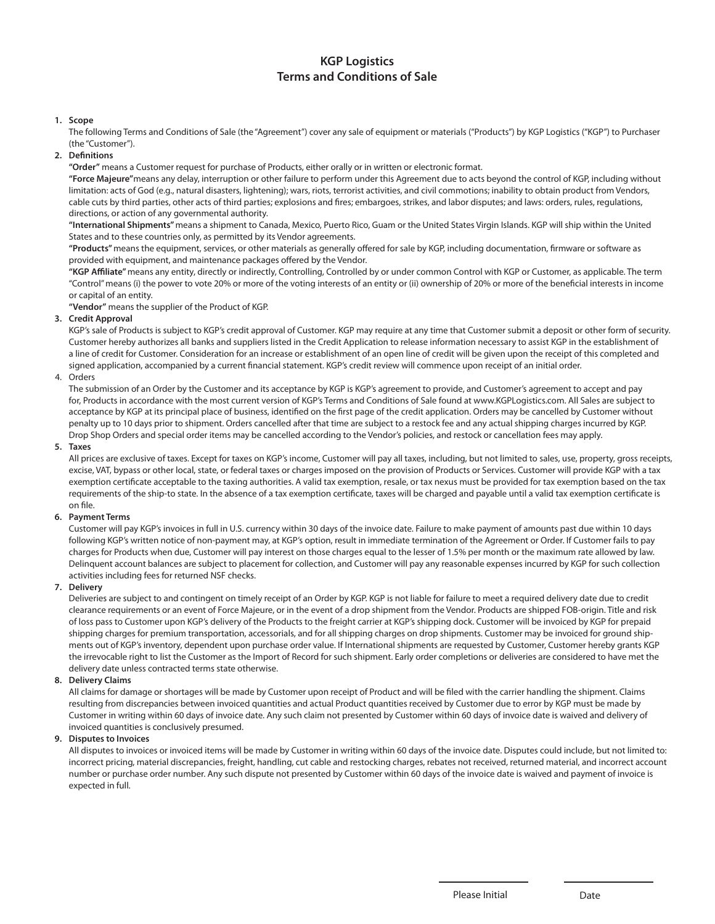# **KGP Logistics Terms and Conditions of Sale**

# **1. Scope**

 The following Terms and Conditions of Sale (the "Agreement") cover any sale of equipment or materials ("Products") by KGP Logistics ("KGP") to Purchaser (the "Customer").

**2. Definitions**

 **"Order"** means a Customer request for purchase of Products, either orally or in written or electronic format.

 **"Force Majeure"**means any delay, interruption or other failure to perform under this Agreement due to acts beyond the control of KGP, including without limitation: acts of God (e.g., natural disasters, lightening); wars, riots, terrorist activities, and civil commotions; inability to obtain product from Vendors, cable cuts by third parties, other acts of third parties; explosions and fires; embargoes, strikes, and labor disputes; and laws: orders, rules, regulations, directions, or action of any governmental authority.

 **"International Shipments"** means a shipment to Canada, Mexico, Puerto Rico, Guam or the United States Virgin Islands. KGP will ship within the United States and to these countries only, as permitted by its Vendor agreements.

 **"Products"** means the equipment, services, or other materials as generally offered for sale by KGP, including documentation, firmware or software as provided with equipment, and maintenance packages offered by the Vendor.

 **"KGP Affiliate"** means any entity, directly or indirectly, Controlling, Controlled by or under common Control with KGP or Customer, as applicable. The term "Control" means (i) the power to vote 20% or more of the voting interests of an entity or (ii) ownership of 20% or more of the beneficial interests in income or capital of an entity.

**"Vendor"** means the supplier of the Product of KGP.

# **3. Credit Approval**

 KGP's sale of Products is subject to KGP's credit approval of Customer. KGP may require at any time that Customer submit a deposit or other form of security. Customer hereby authorizes all banks and suppliers listed in the Credit Application to release information necessary to assist KGP in the establishment of a line of credit for Customer. Consideration for an increase or establishment of an open line of credit will be given upon the receipt of this completed and signed application, accompanied by a current financial statement. KGP's credit review will commence upon receipt of an initial order.

4. Orders

 The submission of an Order by the Customer and its acceptance by KGP is KGP's agreement to provide, and Customer's agreement to accept and pay for, Products in accordance with the most current version of KGP's Terms and Conditions of Sale found at www.KGPLogistics.com. All Sales are subject to acceptance by KGP at its principal place of business, identified on the first page of the credit application. Orders may be cancelled by Customer without penalty up to 10 days prior to shipment. Orders cancelled after that time are subject to a restock fee and any actual shipping charges incurred by KGP. Drop Shop Orders and special order items may be cancelled according to the Vendor's policies, and restock or cancellation fees may apply.

**5. Taxes**

 All prices are exclusive of taxes. Except for taxes on KGP's income, Customer will pay all taxes, including, but not limited to sales, use, property, gross receipts, excise, VAT, bypass or other local, state, or federal taxes or charges imposed on the provision of Products or Services. Customer will provide KGP with a tax exemption certificate acceptable to the taxing authorities. A valid tax exemption, resale, or tax nexus must be provided for tax exemption based on the tax requirements of the ship-to state. In the absence of a tax exemption certificate, taxes will be charged and payable until a valid tax exemption certificate is on file.

# **6. Payment Terms**

 Customer will pay KGP's invoices in full in U.S. currency within 30 days of the invoice date. Failure to make payment of amounts past due within 10 days following KGP's written notice of non-payment may, at KGP's option, result in immediate termination of the Agreement or Order. If Customer fails to pay charges for Products when due, Customer will pay interest on those charges equal to the lesser of 1.5% per month or the maximum rate allowed by law. Delinquent account balances are subject to placement for collection, and Customer will pay any reasonable expenses incurred by KGP for such collection activities including fees for returned NSF checks.

# **7. Delivery**

 Deliveries are subject to and contingent on timely receipt of an Order by KGP. KGP is not liable for failure to meet a required delivery date due to credit clearance requirements or an event of Force Majeure, or in the event of a drop shipment from the Vendor. Products are shipped FOB-origin. Title and risk of loss pass to Customer upon KGP's delivery of the Products to the freight carrier at KGP's shipping dock. Customer will be invoiced by KGP for prepaid shipping charges for premium transportation, accessorials, and for all shipping charges on drop shipments. Customer may be invoiced for ground shipments out of KGP's inventory, dependent upon purchase order value. If International shipments are requested by Customer, Customer hereby grants KGP the irrevocable right to list the Customer as the Import of Record for such shipment. Early order completions or deliveries are considered to have met the delivery date unless contracted terms state otherwise.

# **8. Delivery Claims**

 All claims for damage or shortages will be made by Customer upon receipt of Product and will be filed with the carrier handling the shipment. Claims resulting from discrepancies between invoiced quantities and actual Product quantities received by Customer due to error by KGP must be made by Customer in writing within 60 days of invoice date. Any such claim not presented by Customer within 60 days of invoice date is waived and delivery of invoiced quantities is conclusively presumed.

# **9. Disputes to Invoices**

 All disputes to invoices or invoiced items will be made by Customer in writing within 60 days of the invoice date. Disputes could include, but not limited to: incorrect pricing, material discrepancies, freight, handling, cut cable and restocking charges, rebates not received, returned material, and incorrect account number or purchase order number. Any such dispute not presented by Customer within 60 days of the invoice date is waived and payment of invoice is expected in full.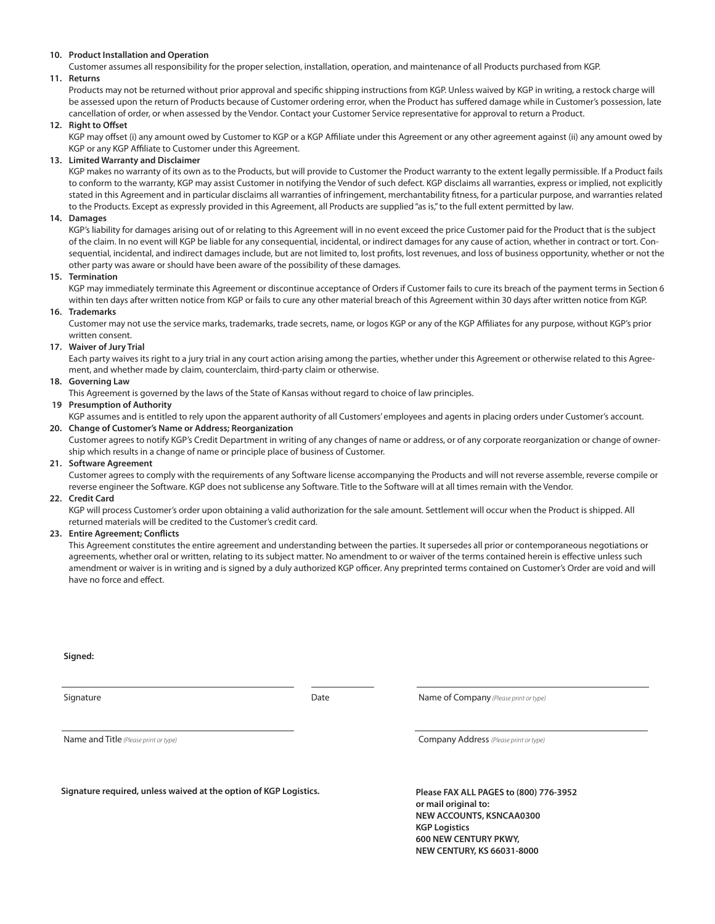# **10. Product Installation and Operation**

 Customer assumes all responsibility for the proper selection, installation, operation, and maintenance of all Products purchased from KGP. **11. Returns**

 Products may not be returned without prior approval and specific shipping instructions from KGP. Unless waived by KGP in writing, a restock charge will be assessed upon the return of Products because of Customer ordering error, when the Product has suffered damage while in Customer's possession, late cancellation of order, or when assessed by the Vendor. Contact your Customer Service representative for approval to return a Product.

# **12. Right to Offset**

 KGP may offset (i) any amount owed by Customer to KGP or a KGP Affiliate under this Agreement or any other agreement against (ii) any amount owed by KGP or any KGP Affiliate to Customer under this Agreement.

# **13. Limited Warranty and Disclaimer**

KGP makes no warranty of its own as to the Products, but will provide to Customer the Product warranty to the extent legally permissible. If a Product fails to conform to the warranty, KGP may assist Customer in notifying the Vendor of such defect. KGP disclaims all warranties, express or implied, not explicitly stated in this Agreement and in particular disclaims all warranties of infringement, merchantability fitness, for a particular purpose, and warranties related to the Products. Except as expressly provided in this Agreement, all Products are supplied "as is," to the full extent permitted by law.

# **14. Damages**

 KGP's liability for damages arising out of or relating to this Agreement will in no event exceed the price Customer paid for the Product that is the subject of the claim. In no event will KGP be liable for any consequential, incidental, or indirect damages for any cause of action, whether in contract or tort. Consequential, incidental, and indirect damages include, but are not limited to, lost profits, lost revenues, and loss of business opportunity, whether or not the other party was aware or should have been aware of the possibility of these damages.

# **15. Termination**

 KGP may immediately terminate this Agreement or discontinue acceptance of Orders if Customer fails to cure its breach of the payment terms in Section 6 within ten days after written notice from KGP or fails to cure any other material breach of this Agreement within 30 days after written notice from KGP.

# **16. Trademarks**

 Customer may not use the service marks, trademarks, trade secrets, name, or logos KGP or any of the KGP Affiliates for any purpose, without KGP's prior written consent.

# **17. Waiver of Jury Trial**

 Each party waives its right to a jury trial in any court action arising among the parties, whether under this Agreement or otherwise related to this Agreement, and whether made by claim, counterclaim, third-party claim or otherwise.

# **18. Governing Law**

This Agreement is governed by the laws of the State of Kansas without regard to choice of law principles.

# **19 Presumption of Authority**

KGP assumes and is entitled to rely upon the apparent authority of all Customers' employees and agents in placing orders under Customer's account.

# **20. Change of Customer's Name or Address; Reorganization**

 Customer agrees to notify KGP's Credit Department in writing of any changes of name or address, or of any corporate reorganization or change of ownership which results in a change of name or principle place of business of Customer.

# **21. Software Agreement**

 Customer agrees to comply with the requirements of any Software license accompanying the Products and will not reverse assemble, reverse compile or reverse engineer the Software. KGP does not sublicense any Software. Title to the Software will at all times remain with the Vendor.

# **22. Credit Card**

 KGP will process Customer's order upon obtaining a valid authorization for the sale amount. Settlement will occur when the Product is shipped. All returned materials will be credited to the Customer's credit card.

# **23. Entire Agreement; Conflicts**

 This Agreement constitutes the entire agreement and understanding between the parties. It supersedes all prior or contemporaneous negotiations or agreements, whether oral or written, relating to its subject matter. No amendment to or waiver of the terms contained herein is effective unless such amendment or waiver is in writing and is signed by a duly authorized KGP officer. Any preprinted terms contained on Customer's Order are void and will have no force and effect.

**Signed:**

Signature **Date Name of Company** (Please print or type) **Company** (Please print or type)

Name and Title *(Please print or type)* Company Address *(Please print or type)*

**Signature required, unless waived at the option of KGP Logistics.**

**Please FAX ALL PAGES to (800) 776-3952 or mail original to: NEW ACCOUNTS, KSNCAA0300 KGP Logistics 600 NEW CENTURY PKWY, NEW CENTURY, KS 66031-8000**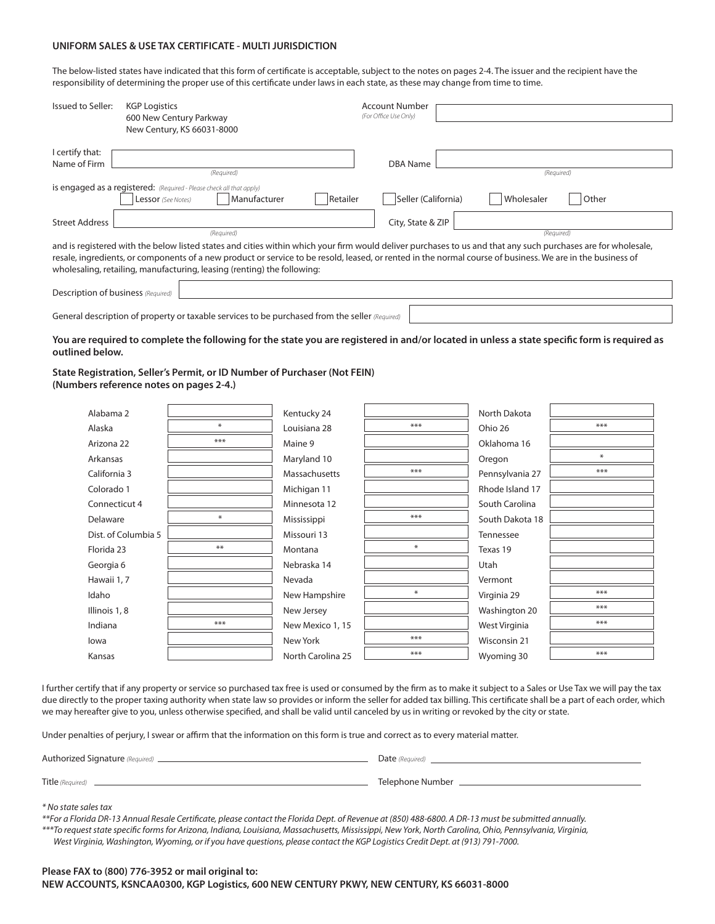# **UNIFORM SALES & USE TAX CERTIFICATE - MULTI JURISDICTION**

The below-listed states have indicated that this form of certificate is acceptable, subject to the notes on pages 2-4. The issuer and the recipient have the responsibility of determining the proper use of this certificate under laws in each state, as these may change from time to time.

| Issued to Seller:                  | <b>KGP Logistics</b>                                                                                                                                          | Account Number        |                     |
|------------------------------------|---------------------------------------------------------------------------------------------------------------------------------------------------------------|-----------------------|---------------------|
|                                    | 600 New Century Parkway                                                                                                                                       | (For Office Use Only) |                     |
|                                    |                                                                                                                                                               |                       |                     |
|                                    | New Century, KS 66031-8000                                                                                                                                    |                       |                     |
|                                    |                                                                                                                                                               |                       |                     |
| I certify that:                    |                                                                                                                                                               |                       |                     |
|                                    |                                                                                                                                                               |                       |                     |
| Name of Firm                       |                                                                                                                                                               | DBA Name              |                     |
|                                    | (Required)                                                                                                                                                    |                       | (Required)          |
|                                    | is engaged as a registered: (Required - Please check all that apply)                                                                                          |                       |                     |
|                                    |                                                                                                                                                               |                       |                     |
|                                    | Manufacturer<br>Retailer<br>Lessor (See Notes)                                                                                                                | Seller (California)   | Wholesaler<br>Other |
|                                    |                                                                                                                                                               |                       |                     |
| <b>Street Address</b>              |                                                                                                                                                               | City, State & ZIP     |                     |
|                                    |                                                                                                                                                               |                       |                     |
|                                    | (Required)                                                                                                                                                    |                       | (Required)          |
|                                    | and is registered with the below listed states and cities within which your firm would deliver purchases to us and that any such purchases are for wholesale, |                       |                     |
|                                    | resale, ingredients, or components of a new product or service to be resold, leased, or rented in the normal course of business. We are in the business of    |                       |                     |
|                                    |                                                                                                                                                               |                       |                     |
|                                    | wholesaling, retailing, manufacturing, leasing (renting) the following:                                                                                       |                       |                     |
|                                    |                                                                                                                                                               |                       |                     |
| Description of business (Required) |                                                                                                                                                               |                       |                     |
|                                    |                                                                                                                                                               |                       |                     |
|                                    |                                                                                                                                                               |                       |                     |

General description of property or taxable services to be purchased from the seller *(Required)*

# **You are required to complete the following for the state you are registered in and/or located in unless a state specific form is required as outlined below.**

**State Registration, Seller's Permit, or ID Number of Purchaser (Not FEIN) (Numbers reference notes on pages 2-4.)**

| Alabama 2           |        | Kentucky 24       |     | North Dakota    |        |
|---------------------|--------|-------------------|-----|-----------------|--------|
| Alaska              | $\ast$ | Louisiana 28      | *** | Ohio 26         | $***$  |
| Arizona 22          | ***    | Maine 9           |     | Oklahoma 16     |        |
| Arkansas            |        | Maryland 10       |     | Oregon          | $\ast$ |
| California 3        |        | Massachusetts     | *** | Pennsylvania 27 | ***    |
| Colorado 1          |        | Michigan 11       |     | Rhode Island 17 |        |
| Connecticut 4       |        | Minnesota 12      |     | South Carolina  |        |
| Delaware            | ₩      | Mississippi       | *** | South Dakota 18 |        |
| Dist. of Columbia 5 |        | Missouri 13       |     | Tennessee       |        |
| Florida 23          | $**$   | Montana           |     | Texas 19        |        |
| Georgia 6           |        | Nebraska 14       |     | Utah            |        |
| Hawaii 1,7          |        | Nevada            |     | Vermont         |        |
| Idaho               |        | New Hampshire     | ₩   | Virginia 29     | ***    |
| Illinois 1, 8       |        | New Jersey        |     | Washington 20   | ***    |
| Indiana             | ***    | New Mexico 1, 15  |     | West Virginia   | ***    |
| lowa                |        | New York          | *** | Wisconsin 21    |        |
| Kansas              |        | North Carolina 25 | *** | Wyoming 30      | ***    |

I further certify that if any property or service so purchased tax free is used or consumed by the firm as to make it subject to a Sales or Use Tax we will pay the tax due directly to the proper taxing authority when state law so provides or inform the seller for added tax billing. This certificate shall be a part of each order, which we may hereafter give to you, unless otherwise specified, and shall be valid until canceled by us in writing or revoked by the city or state.

Under penalties of perjury, I swear or affirm that the information on this form is true and correct as to every material matter.

| Authorized Signature (Required) __________ | Date (Required)  |
|--------------------------------------------|------------------|
| Title (Required)                           | Telephone Number |

*\* No state sales tax*

*\*\*For a Florida DR-13 Annual Resale Certificate, please contact the Florida Dept. of Revenue at (850) 488-6800. A DR-13 must be submitted annually. \*\*\*To request state specific forms for Arizona, Indiana, Louisiana, Massachusetts, Mississippi, New York, North Carolina, Ohio, Pennsylvania, Virginia, West Virginia, Washington, Wyoming, or if you have questions, please contact the KGP Logistics Credit Dept. at (913) 791-7000.*

# **Please FAX to (800) 776-3952 or mail original to: NEW ACCOUNTS, KSNCAA0300, KGP Logistics, 600 NEW CENTURY PKWY, NEW CENTURY, KS 66031-8000**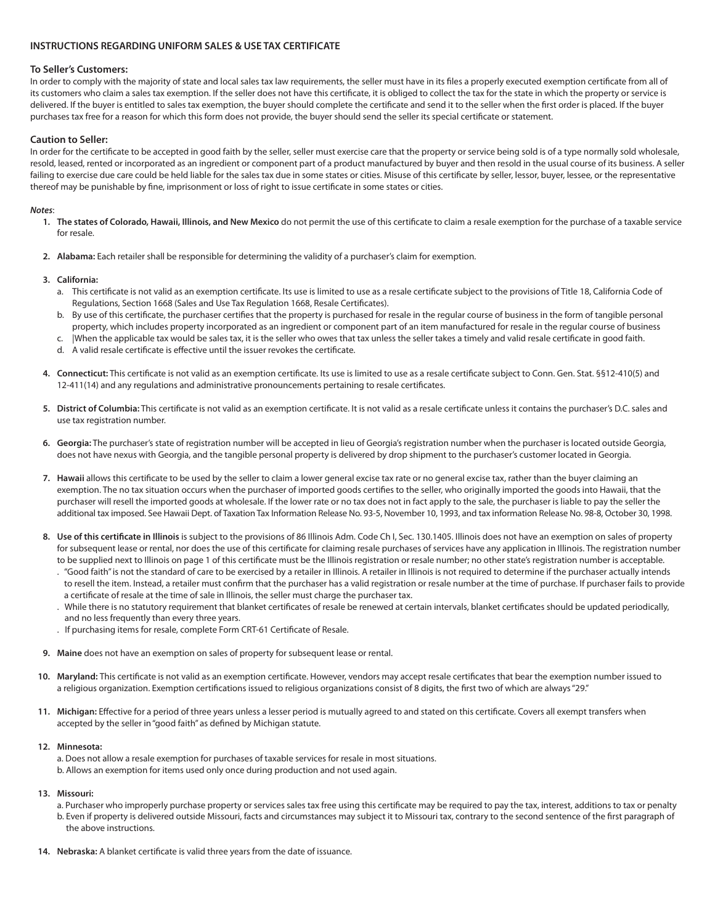# **INSTRUCTIONS REGARDING UNIFORM SALES & USE TAX CERTIFICATE**

# **To Seller's Customers:**

In order to comply with the majority of state and local sales tax law requirements, the seller must have in its files a properly executed exemption certificate from all of its customers who claim a sales tax exemption. If the seller does not have this certificate, it is obliged to collect the tax for the state in which the property or service is delivered. If the buyer is entitled to sales tax exemption, the buyer should complete the certificate and send it to the seller when the first order is placed. If the buyer purchases tax free for a reason for which this form does not provide, the buyer should send the seller its special certificate or statement.

# **Caution to Seller:**

In order for the certificate to be accepted in good faith by the seller, seller must exercise care that the property or service being sold is of a type normally sold wholesale, resold, leased, rented or incorporated as an ingredient or component part of a product manufactured by buyer and then resold in the usual course of its business. A seller failing to exercise due care could be held liable for the sales tax due in some states or cities. Misuse of this certificate by seller, lessor, buyer, lessee, or the representative thereof may be punishable by fine, imprisonment or loss of right to issue certificate in some states or cities.

# *Notes*:

- **1. The states of Colorado, Hawaii, Illinois, and New Mexico** do not permit the use of this certificate to claim a resale exemption for the purchase of a taxable service for resale.
- **2. Alabama:** Each retailer shall be responsible for determining the validity of a purchaser's claim for exemption.

# **3. California:**

- a. This certificate is not valid as an exemption certificate. Its use is limited to use as a resale certificate subject to the provisions of Title 18, California Code of Regulations, Section 1668 (Sales and Use Tax Regulation 1668, Resale Certificates).
- b. By use of this certificate, the purchaser certifies that the property is purchased for resale in the regular course of business in the form of tangible personal property, which includes property incorporated as an ingredient or component part of an item manufactured for resale in the regular course of business
- c. |When the applicable tax would be sales tax, it is the seller who owes that tax unless the seller takes a timely and valid resale certificate in good faith.
- d. A valid resale certificate is effective until the issuer revokes the certificate.
- **4. Connecticut:** This certificate is not valid as an exemption certificate. Its use is limited to use as a resale certificate subject to Conn. Gen. Stat. §§12-410(5) and 12-411(14) and any regulations and administrative pronouncements pertaining to resale certificates.
- **5. District of Columbia:** This certificate is not valid as an exemption certificate. It is not valid as a resale certificate unless it contains the purchaser's D.C. sales and use tax registration number.
- **6. Georgia:** The purchaser's state of registration number will be accepted in lieu of Georgia's registration number when the purchaser is located outside Georgia, does not have nexus with Georgia, and the tangible personal property is delivered by drop shipment to the purchaser's customer located in Georgia.
- **7. Hawaii** allows this certificate to be used by the seller to claim a lower general excise tax rate or no general excise tax, rather than the buyer claiming an exemption. The no tax situation occurs when the purchaser of imported goods certifies to the seller, who originally imported the goods into Hawaii, that the purchaser will resell the imported goods at wholesale. If the lower rate or no tax does not in fact apply to the sale, the purchaser is liable to pay the seller the additional tax imposed. See Hawaii Dept. of Taxation Tax Information Release No. 93-5, November 10, 1993, and tax information Release No. 98-8, October 30, 1998.
- **8. Use of this certificate in Illinois** is subject to the provisions of 86 Illinois Adm. Code Ch I, Sec. 130.1405. Illinois does not have an exemption on sales of property for subsequent lease or rental, nor does the use of this certificate for claiming resale purchases of services have any application in Illinois. The registration number
	- to be supplied next to Illinois on page 1 of this certificate must be the Illinois registration or resale number; no other state's registration number is acceptable. . "Good faith" is not the standard of care to be exercised by a retailer in Illinois. A retailer in Illinois is not required to determine if the purchaser actually intends to resell the item. Instead, a retailer must confirm that the purchaser has a valid registration or resale number at the time of purchase. If purchaser fails to provide a certificate of resale at the time of sale in Illinois, the seller must charge the purchaser tax.
	- . While there is no statutory requirement that blanket certificates of resale be renewed at certain intervals, blanket certificates should be updated periodically, and no less frequently than every three years.
	- . If purchasing items for resale, complete Form CRT-61 Certificate of Resale.
- **9. Maine** does not have an exemption on sales of property for subsequent lease or rental.
- **10. Maryland:** This certificate is not valid as an exemption certificate. However, vendors may accept resale certificates that bear the exemption number issued to a religious organization. Exemption certifications issued to religious organizations consist of 8 digits, the first two of which are always "29."
- **11. Michigan:** Effective for a period of three years unless a lesser period is mutually agreed to and stated on this certificate. Covers all exempt transfers when accepted by the seller in "good faith" as defined by Michigan statute.

# **12. Minnesota:**

- a. Does not allow a resale exemption for purchases of taxable services for resale in most situations.
- b. Allows an exemption for items used only once during production and not used again.

# **13. Missouri:**

- a. Purchaser who improperly purchase property or services sales tax free using this certificate may be required to pay the tax, interest, additions to tax or penalty
- b. Even if property is delivered outside Missouri, facts and circumstances may subject it to Missouri tax, contrary to the second sentence of the first paragraph of the above instructions.
- **14. Nebraska:** A blanket certificate is valid three years from the date of issuance.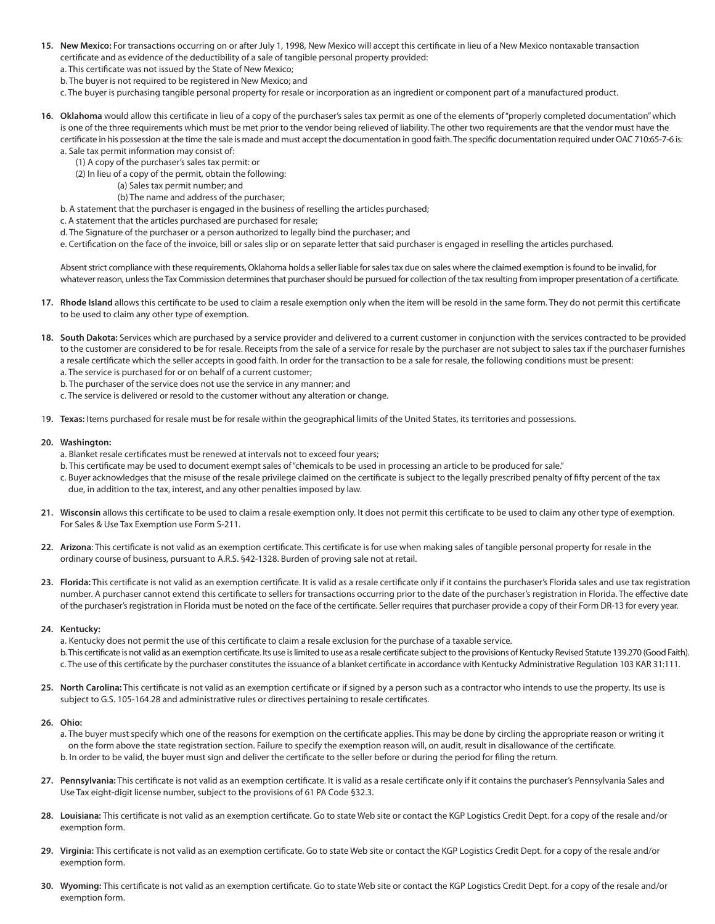- **15. New Mexico:** For transactions occurring on or after July 1, 1998, New Mexico will accept this certificate in lieu of a New Mexico nontaxable transaction certificate and as evidence of the deductibility of a sale of tangible personal property provided:
	- a. This certificate was not issued by the State of New Mexico;
	- b. The buyer is not required to be registered in New Mexico; and
	- c. The buyer is purchasing tangible personal property for resale or incorporation as an ingredient or component part of a manufactured product.
- **16. Oklahoma** would allow this certificate in lieu of a copy of the purchaser's sales tax permit as one of the elements of "properly completed documentation" which is one of the three requirements which must be met prior to the vendor being relieved of liability. The other two requirements are that the vendor must have the certificate in his possession at the time the sale is made and must accept the documentation in good faith. The specific documentation required under OAC 710:65-7-6 is: a. Sale tax permit information may consist of:
	- (1) A copy of the purchaser's sales tax permit: or
	- (2) In lieu of a copy of the permit, obtain the following:
		- (a) Sales tax permit number; and
		- (b) The name and address of the purchaser;
	- b. A statement that the purchaser is engaged in the business of reselling the articles purchased;
	- c. A statement that the articles purchased are purchased for resale;
	- d. The Signature of the purchaser or a person authorized to legally bind the purchaser; and
	- e. Certification on the face of the invoice, bill or sales slip or on separate letter that said purchaser is engaged in reselling the articles purchased.

 Absent strict compliance with these requirements, Oklahoma holds a seller liable for sales tax due on sales where the claimed exemption is found to be invalid, for whatever reason, unless the Tax Commission determines that purchaser should be pursued for collection of the tax resulting from improper presentation of a certificate.

- **17. Rhode Island** allows this certificate to be used to claim a resale exemption only when the item will be resold in the same form. They do not permit this certificate to be used to claim any other type of exemption.
- **18. South Dakota:** Services which are purchased by a service provider and delivered to a current customer in conjunction with the services contracted to be provided to the customer are considered to be for resale. Receipts from the sale of a service for resale by the purchaser are not subject to sales tax if the purchaser furnishes a resale certificate which the seller accepts in good faith. In order for the transaction to be a sale for resale, the following conditions must be present: a. The service is purchased for or on behalf of a current customer;
	- b. The purchaser of the service does not use the service in any manner; and
	- c. The service is delivered or resold to the customer without any alteration or change.
- 1**9. Texas:** Items purchased for resale must be for resale within the geographical limits of the United States, its territories and possessions.

# **20. Washington:**

- a. Blanket resale certificates must be renewed at intervals not to exceed four years;
- b. This certificate may be used to document exempt sales of "chemicals to be used in processing an article to be produced for sale."
- c. Buyer acknowledges that the misuse of the resale privilege claimed on the certificate is subject to the legally prescribed penalty of fifty percent of the tax due, in addition to the tax, interest, and any other penalties imposed by law.
- **21. Wisconsin** allows this certificate to be used to claim a resale exemption only. It does not permit this certificate to be used to claim any other type of exemption. For Sales & Use Tax Exemption use Form S-211.
- **22. Arizona**: This certificate is not valid as an exemption certificate. This certificate is for use when making sales of tangible personal property for resale in the ordinary course of business, pursuant to A.R.S. §42-1328. Burden of proving sale not at retail.
- **23. Florida:** This certificate is not valid as an exemption certificate. It is valid as a resale certificate only if it contains the purchaser's Florida sales and use tax registration number. A purchaser cannot extend this certificate to sellers for transactions occurring prior to the date of the purchaser's registration in Florida. The effective date of the purchaser's registration in Florida must be noted on the face of the certificate. Seller requires that purchaser provide a copy of their Form DR-13 for every year.

# **24. Kentucky:**

 a. Kentucky does not permit the use of this certificate to claim a resale exclusion for the purchase of a taxable service. b. This certificate is not valid as an exemption certificate. Its use is limited to use as a resale certificate subject to the provisions of Kentucky Revised Statute 139.270 (Good Faith). c. The use of this certificate by the purchaser constitutes the issuance of a blanket certificate in accordance with Kentucky Administrative Regulation 103 KAR 31:111.

**25. North Carolina:** This certificate is not valid as an exemption certificate or if signed by a person such as a contractor who intends to use the property. Its use is subject to G.S. 105-164.28 and administrative rules or directives pertaining to resale certificates.

# **26. Ohio:**

 a. The buyer must specify which one of the reasons for exemption on the certificate applies. This may be done by circling the appropriate reason or writing it on the form above the state registration section. Failure to specify the exemption reason will, on audit, result in disallowance of the certificate. b. In order to be valid, the buyer must sign and deliver the certificate to the seller before or during the period for filing the return.

- **27. Pennsylvania:** This certificate is not valid as an exemption certificate. It is valid as a resale certificate only if it contains the purchaser's Pennsylvania Sales and Use Tax eight-digit license number, subject to the provisions of 61 PA Code §32.3.
- **28. Louisiana:** This certificate is not valid as an exemption certificate. Go to state Web site or contact the KGP Logistics Credit Dept. for a copy of the resale and/or exemption form.
- **29. Virginia:** This certificate is not valid as an exemption certificate. Go to state Web site or contact the KGP Logistics Credit Dept. for a copy of the resale and/or exemption form.
- **30. Wyoming:** This certificate is not valid as an exemption certificate. Go to state Web site or contact the KGP Logistics Credit Dept. for a copy of the resale and/or exemption form.